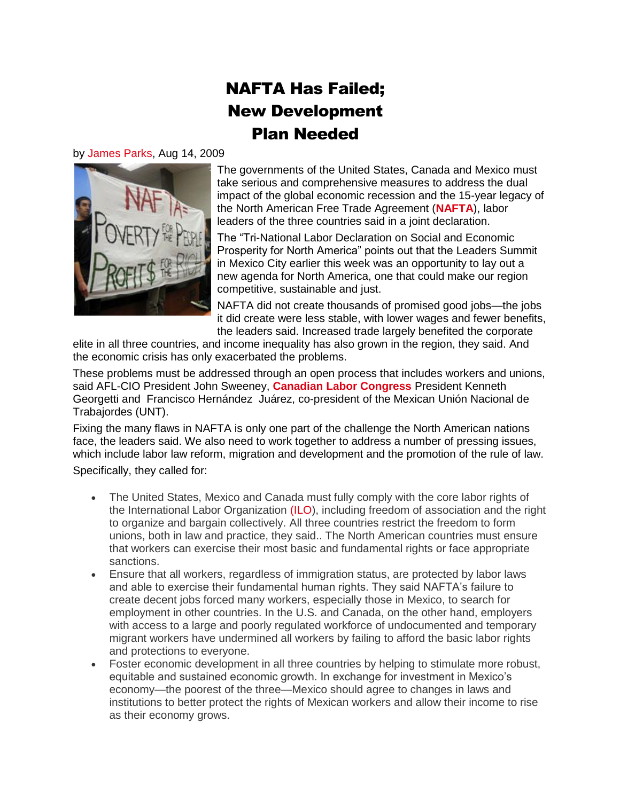## NAFTA Has Failed; New Development Plan Needed

## by [James Parks,](http://blog.aflcio.org/?page_id=289) Aug 14, 2009



The governments of the United States, Canada and Mexico must take serious and comprehensive measures to address the dual impact of the global economic recession and the 15-year legacy of the North American Free Trade Agreement (**[NAFTA](http://blog.aflcio.org/2008/09/09/15-years-later-experts-say-revisit-nafta)**), labor leaders of the three countries said in a joint declaration.

The "Tri-National Labor Declaration on Social and Economic Prosperity for North America" points out that the Leaders Summit in Mexico City earlier this week was an opportunity to lay out a new agenda for North America, one that could make our region competitive, sustainable and just.

NAFTA did not create thousands of promised good jobs—the jobs it did create were less stable, with lower wages and fewer benefits, the leaders said. Increased trade largely benefited the corporate

elite in all three countries, and income inequality has also grown in the region, they said. And the economic crisis has only exacerbated the problems.

These problems must be addressed through an open process that includes workers and unions, said AFL-CIO President John Sweeney, **[Canadian Labor Congress](http://www.canadianlabour.ca/)** President Kenneth Georgetti and Francisco Hernández Juárez, co-president of the Mexican Unión Nacional de Trabajordes (UNT).

Fixing the many flaws in NAFTA is only one part of the challenge the North American nations face, the leaders said. We also need to work together to address a number of pressing issues, which include labor law reform, migration and development and the promotion of the rule of law.

Specifically, they called for:

- The United States, Mexico and Canada must fully comply with the core labor rights of the International Labor Organization [\(ILO\)](http://www.ilo.org/), including freedom of association and the right to organize and bargain collectively. All three countries restrict the freedom to form unions, both in law and practice, they said.. The North American countries must ensure that workers can exercise their most basic and fundamental rights or face appropriate sanctions.
- Ensure that all workers, regardless of immigration status, are protected by labor laws and able to exercise their fundamental human rights. They said NAFTA's failure to create decent jobs forced many workers, especially those in Mexico, to search for employment in other countries. In the U.S. and Canada, on the other hand, employers with access to a large and poorly regulated workforce of undocumented and temporary migrant workers have undermined all workers by failing to afford the basic labor rights and protections to everyone.
- Foster economic development in all three countries by helping to stimulate more robust, equitable and sustained economic growth. In exchange for investment in Mexico's economy—the poorest of the three—Mexico should agree to changes in laws and institutions to better protect the rights of Mexican workers and allow their income to rise as their economy grows.